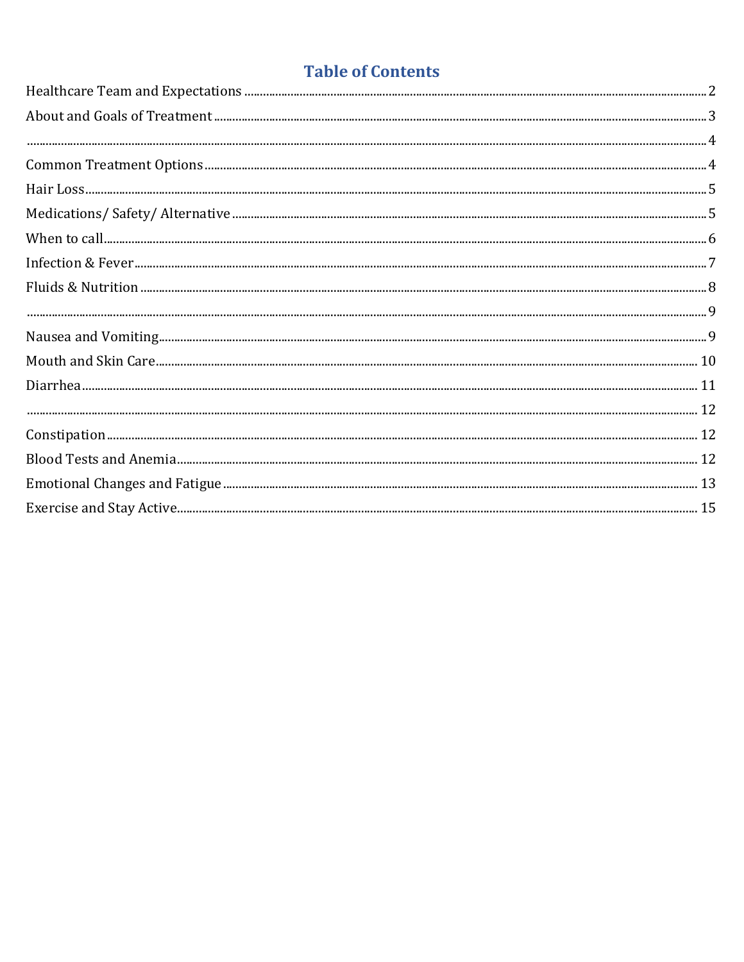## **Table of Contents**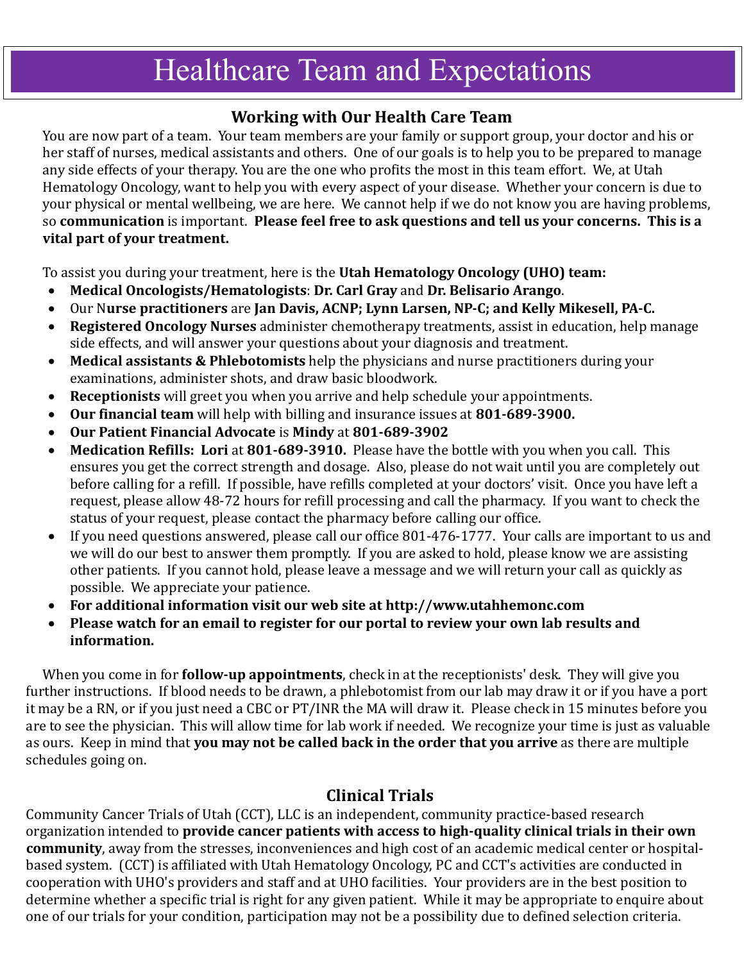## <span id="page-1-0"></span>**Healthcare Team and Expectations**

### **Working with Our Health Care Team**

You are now part of a team. Your team members are your family or support group, your doctor and his or her staff of nurses, medical assistants and others. One of our goals is to help you to be prepared to manage any side effects of your therapy. You are the one who profits the most in this team effort. We, at Utah Hematology Oncology, want to help you with every aspect of your disease. Whether your concern is due to your physical or mental wellbeing, we are here. We cannot help if we do not know you are having problems, so **communication** is important. **Please feel free to ask questions and tell us your concerns. This is a vital part of your treatment.**

To assist you during your treatment, here is the **Utah Hematology Oncology (UHO) team:**

- **Medical Oncologists/Hematologists**: **Dr. Carl Gray** and **Dr. Belisario Arango**.
- Our N**urse practitioners** are **Jan Davis, ACNP; Lynn Larsen, NP-C; and Kelly Mikesell, PA-C.**
- **Registered Oncology Nurses** administer chemotherapy treatments, assist in education, help manage side effects, and will answer your questions about your diagnosis and treatment.
- **Medical assistants & Phlebotomists** help the physicians and nurse practitioners during your examinations, administer shots, and draw basic bloodwork.
- **Receptionists** will greet you when you arrive and help schedule your appointments.
- **Our financial team** will help with billing and insurance issues at **801-689-3900.**
- **Our Patient Financial Advocate** is **Mindy** at **801-689-3902**
- **Medication Refills: Lori** at **801-689-3910.** Please have the bottle with you when you call. This ensures you get the correct strength and dosage. Also, please do not wait until you are completely out before calling for a refill. If possible, have refills completed at your doctors' visit. Once you have left a request, please allow 48-72 hours for refill processing and call the pharmacy. If you want to check the status of your request, please contact the pharmacy before calling our office.
- If you need questions answered, please call our office 801-476-1777. Your calls are important to us and we will do our best to answer them promptly. If you are asked to hold, please know we are assisting other patients. If you cannot hold, please leave a message and we will return your call as quickly as possible. We appreciate your patience.
- **For additional information visit our web site at [http://www.utahhemonc.com](http://www.utahhemonc.com/)**
- **Please watch for an email to register for our portal to review your own lab results and information.**

When you come in for **follow-up appointments**, check in at the receptionists' desk. They will give you further instructions. If blood needs to be drawn, a phlebotomist from our lab may draw it or if you have a port it may be a RN, or if you just need a CBC or PT/INR the MA will draw it. Please check in 15 minutes before you are to see the physician. This will allow time for lab work if needed. We recognize your time is just as valuable as ours. Keep in mind that **you may not be called back in the order that you arrive** as there are multiple schedules going on.

## **Clinical Trials**

Community Cancer Trials of Utah (CCT), LLC is an independent, community practice-based research organization intended to **provide cancer patients with access to high-quality clinical trials in their own community**, away from the stresses, inconveniences and high cost of an academic medical center or hospitalbased system. (CCT) is affiliated with Utah Hematology Oncology, PC and CCT's activities are conducted in cooperation with UHO's providers and staff and at UHO facilities. Your providers are in the best position to determine whether a specific trial is right for any given patient. While it may be appropriate to enquire about one of our trials for your condition, participation may not be a possibility due to defined selection criteria.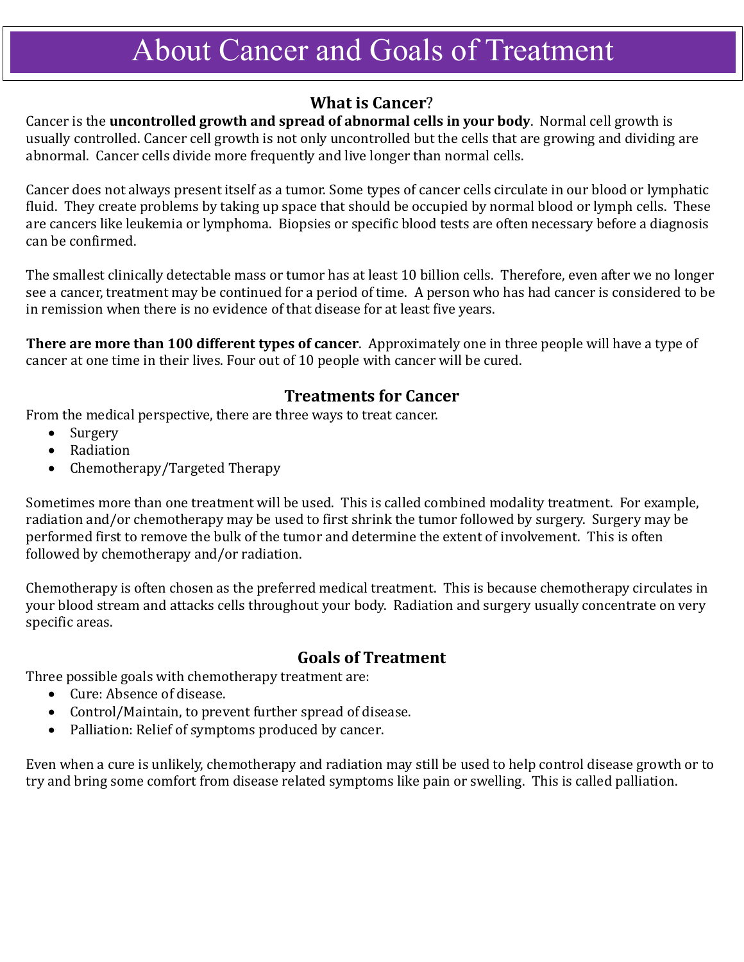# <span id="page-2-0"></span>About Cancer and Goals of Treatment

### **What is Cancer**?

Cancer is the **uncontrolled growth and spread of abnormal cells in your body**. Normal cell growth is usually controlled. Cancer cell growth is not only uncontrolled but the cells that are growing and dividing are abnormal. Cancer cells divide more frequently and live longer than normal cells.

Cancer does not always present itself as a tumor. Some types of cancer cells circulate in our blood or lymphatic fluid. They create problems by taking up space that should be occupied by normal blood or lymph cells. These are cancers like leukemia or lymphoma. Biopsies or specific blood tests are often necessary before a diagnosis can be confirmed.

The smallest clinically detectable mass or tumor has at least 10 billion cells. Therefore, even after we no longer see a cancer, treatment may be continued for a period of time. A person who has had cancer is considered to be in remission when there is no evidence of that disease for at least five years.

**There are more than 100 different types of cancer**. Approximately one in three people will have a type of cancer at one time in their lives. Four out of 10 people with cancer will be cured.

### **Treatments for Cancer**

From the medical perspective, there are three ways to treat cancer.

- Surgery
- Radiation
- Chemotherapy/Targeted Therapy

Sometimes more than one treatment will be used. This is called combined modality treatment. For example, radiation and/or chemotherapy may be used to first shrink the tumor followed by surgery. Surgery may be performed first to remove the bulk of the tumor and determine the extent of involvement. This is often followed by chemotherapy and/or radiation.

Chemotherapy is often chosen as the preferred medical treatment. This is because chemotherapy circulates in your blood stream and attacks cells throughout your body. Radiation and surgery usually concentrate on very specific areas.

### **Goals of Treatment**

Three possible goals with chemotherapy treatment are:

- Cure: Absence of disease.
- Control/Maintain, to prevent further spread of disease.
- Palliation: Relief of symptoms produced by cancer.

Even when a cure is unlikely, chemotherapy and radiation may still be used to help control disease growth or to try and bring some comfort from disease related symptoms like pain or swelling. This is called palliation.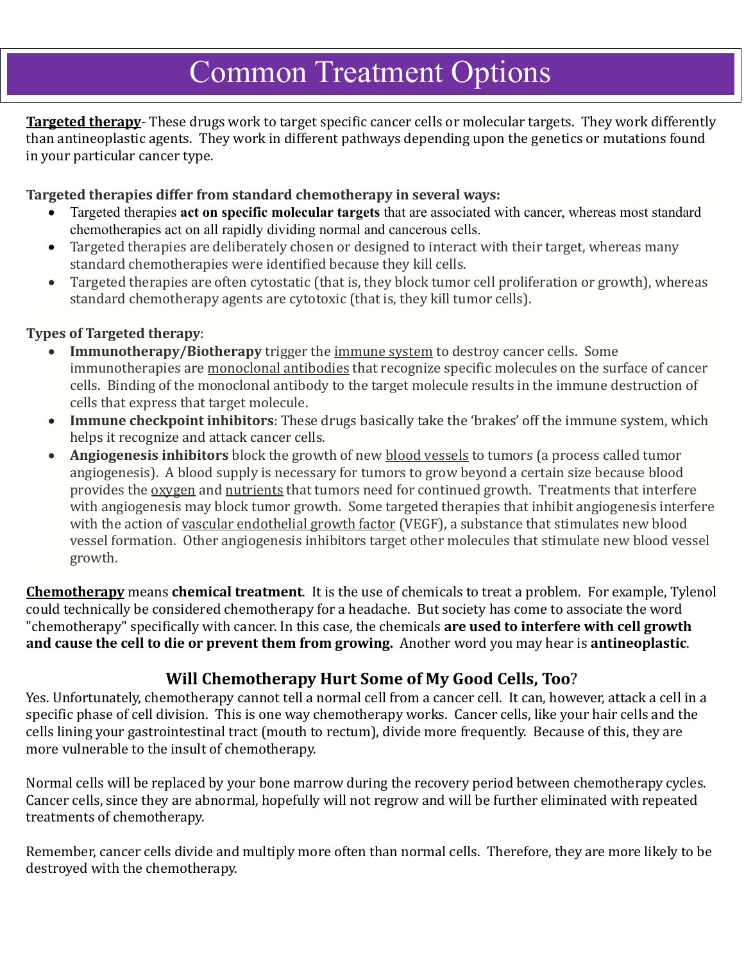## <span id="page-3-1"></span><span id="page-3-0"></span>Common Treatment Options Common Treatment Options

**Targeted therapy**- These drugs work to target specific cancer cells or molecular targets. They work differently than antineoplastic agents. They work in different pathways depending upon the genetics or mutations found in your particular cancer type.

#### **Targeted therapies differ from standard [chemotherapy](https://www.cancer.gov/Common/PopUps/popDefinition.aspx?id=CDR0000045214&version=Patient&language=English) in several ways:**

- Targeted therapies **act on specific molecular targets** that are associated with cancer, whereas most standard chemotherapies act on all rapidly dividing normal and cancerous cells.
- Targeted therapies are deliberately chosen or designed to interact with their target, whereas many standard chemotherapies were identified because they kill cells.
- Targeted therapies are often [cytostatic](https://www.cancer.gov/Common/PopUps/popDefinition.aspx?id=CDR0000756173&version=Patient&language=English) (that is, they block tumor cell [proliferation](https://www.cancer.gov/Common/PopUps/popDefinition.aspx?id=CDR0000046479&version=Patient&language=English) or growth), whereas standard chemotherapy agents are [cytotoxic](https://www.cancer.gov/Common/PopUps/popDefinition.aspx?id=CDR0000044020&version=Patient&language=English) (that is, they kill tumor cells).

#### **Types of Targeted therapy**:

- **Immunotherapy/Biotherapy** trigger the [immune](https://www.cancer.gov/Common/PopUps/popDefinition.aspx?id=CDR0000046356&version=Patient&language=English) system to destroy cancer cells. Some immunotherapies are [monoclonal](https://www.cancer.gov/Common/PopUps/popDefinition.aspx?id=CDR0000046066&version=Patient&language=English) antibodies that recognize specific molecules on the surface of cancer cells. Binding of the monoclonal antibody to the target molecule results in the immune destruction of cells that express that target molecule.
- **Immune checkpoint inhibitors**: These drugs basically take the 'brakes' off the immune system, which helps it recognize and attack cancer cells.
- **Angiogenesis inhibitors** block the growth of new blood [vessels](https://www.cancer.gov/Common/PopUps/popDefinition.aspx?id=CDR0000045020&version=Patient&language=English) to tumors (a process called tumor angiogenesis). A blood supply is necessary for tumors to grow beyond a certain size because blood provides the [oxygen](https://www.cancer.gov/Common/PopUps/popDefinition.aspx?id=CDR0000538149&version=Patient&language=English) and [nutrients](https://www.cancer.gov/Common/PopUps/popDefinition.aspx?id=CDR0000044697&version=Patient&language=English) that tumors need for continued growth. Treatments that interfere with angiogenesis may block tumor growth. Some targeted therapies that inhibit angiogenesis interfere with the action of vascular [endothelial](https://www.cancer.gov/Common/PopUps/popDefinition.aspx?id=CDR0000044222&version=Patient&language=English) growth factor (VEGF), a substance that stimulates new blood vessel formation. Other angiogenesis inhibitors target other molecules that stimulate new blood vessel growth.

**Chemotherapy** means **chemical treatment**. It is the use of chemicals to treat a problem. For example, Tylenol could technically be considered chemotherapy for a headache. But society has come to associate the word "chemotherapy" specifically with cancer. In this case, the chemicals **are used to interfere with cell growth and cause the cell to die or prevent them from growing.** Another word you may hear is **antineoplastic**.

### **Will Chemotherapy Hurt Some of My Good Cells, Too**?

Yes. Unfortunately, chemotherapy cannot tell a normal cell from a cancer cell. It can, however, attack a cell in a specific phase of cell division. This is one way chemotherapy works. Cancer cells, like your hair cells and the cells lining your gastrointestinal tract (mouth to rectum), divide more frequently. Because of this, they are more vulnerable to the insult of chemotherapy.

Normal cells will be replaced by your bone marrow during the recovery period between chemotherapy cycles. Cancer cells, since they are abnormal, hopefully will not regrow and will be further eliminated with repeated treatments of chemotherapy.

Remember, cancer cells divide and multiply more often than normal cells. Therefore, they are more likely to be destroyed with the chemotherapy.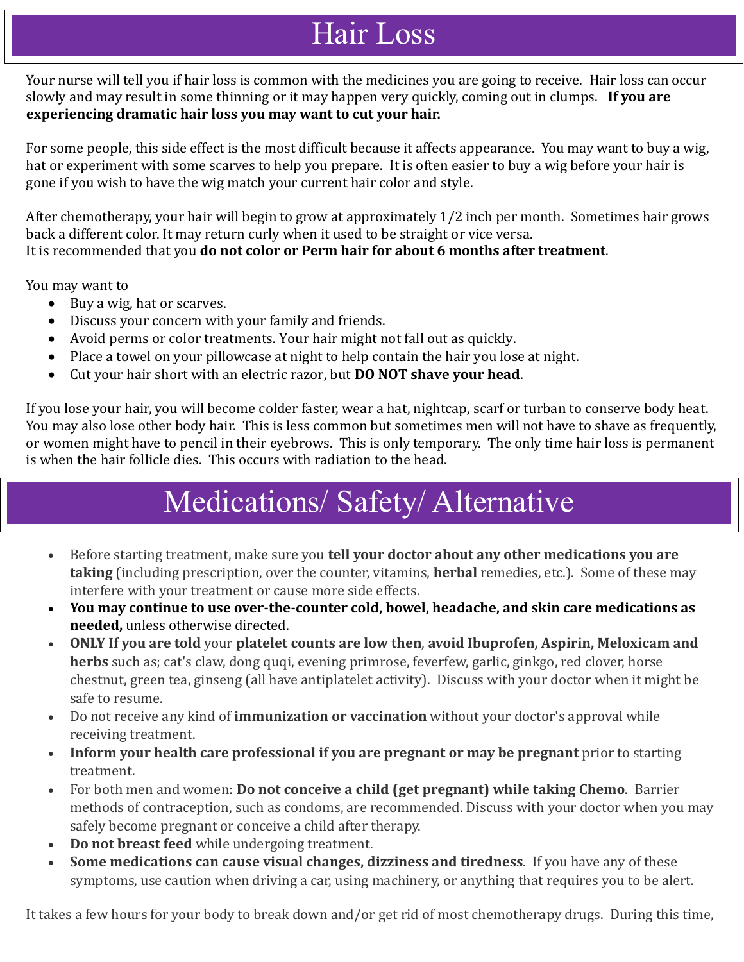## Hair Loss

<span id="page-4-0"></span>Your nurse will tell you if hair loss is common with the medicines you are going to receive. Hair loss can occur slowly and may result in some thinning or it may happen very quickly, coming out in clumps. **If you are experiencing dramatic hair loss you may want to cut your hair.**

For some people, this side effect is the most difficult because it affects appearance. You may want to buy a wig, hat or experiment with some scarves to help you prepare. It is often easier to buy a wig before your hair is gone if you wish to have the wig match your current hair color and style.

After chemotherapy, your hair will begin to grow at approximately 1/2 inch per month. Sometimes hair grows back a different color. It may return curly when it used to be straight or vice versa. It is recommended that you **do not color or Perm hair for about 6 months after treatment**.

You may want to

- Buy a wig, hat or scarves.
- Discuss your concern with your family and friends.
- Avoid perms or color treatments. Your hair might not fall out as quickly.
- Place a towel on your pillowcase at night to help contain the hair you lose at night.
- Cut your hair short with an electric razor, but **DO NOT shave your head**.

If you lose your hair, you will become colder faster, wear a hat, nightcap, scarf or turban to conserve body heat. You may also lose other body hair. This is less common but sometimes men will not have to shave as frequently, or women might have to pencil in their eyebrows. This is only temporary. The only time hair loss is permanent is when the hair follicle dies. This occurs with radiation to the head.

## <span id="page-4-1"></span>Medications/ Safety/ Alternative Medications/ Safety/ Alternative

- Before starting treatment, make sure you **tell your doctor about any other medications you are taking** (including prescription, over the counter, vitamins, **herbal** remedies, etc.). Some of these may interfere with your treatment or cause more side effects.
- **You may continue to use over-the-counter cold, bowel, headache, and skin care medications as needed,** unless otherwise directed.
- **ONLY If you are told** your **platelet counts are low then**, **avoid Ibuprofen, Aspirin, Meloxicam and herbs** such as; cat's claw, dong quqi, evening primrose, feverfew, garlic, ginkgo, red clover, horse chestnut, green tea, ginseng (all have antiplatelet activity). Discuss with your doctor when it might be safe to resume.
- Do not receive any kind of **immunization or vaccination** without your doctor's approval while receiving treatment.
- **Inform your health care professional if you are pregnant or may be pregnant** prior to starting treatment.
- For both men and women: **Do not conceive a child (get pregnant) while taking Chemo**. Barrier methods of contraception, such as condoms, are recommended. Discuss with your doctor when you may safely become pregnant or conceive a child after therapy.
- **Do not breast feed** while undergoing treatment.
- **Some medications can cause visual changes, dizziness and tiredness**. If you have any of these symptoms, use caution when driving a car, using machinery, or anything that requires you to be alert.

It takes a few hours for your body to break down and/or get rid of most chemotherapy drugs. During this time,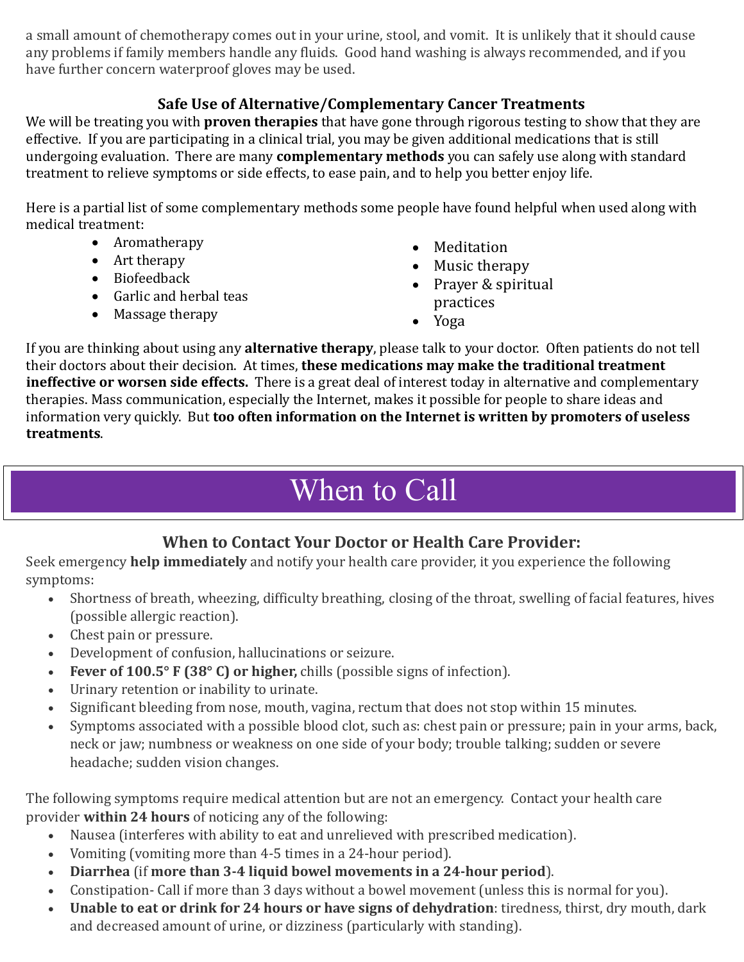a small amount of chemotherapy comes out in your urine, stool, and vomit. It is unlikely that it should cause any problems if family members handle any fluids. Good hand washing is always recommended, and if you have further concern waterproof gloves may be used.

#### **Safe Use of Alternative/Complementary Cancer Treatments**

We will be treating you with **proven therapies** that have gone through rigorous testing to show that they are effective. If you are participating in a clinical trial, you may be given additional medications that is still undergoing evaluation. There are many **complementary methods** you can safely use along with standard treatment to relieve symptoms or side effects, to ease pain, and to help you better enjoy life.

Here is a partial list of some complementary methods some people have found helpful when used along with medical treatment:

- Aromatherapy
- Art therapy
- Biofeedback
- Garlic and herbal teas
- Massage therapy
- Meditation
- Music therapy
- Prayer & spiritual practices
- Yoga

If you are thinking about using any **alternative therapy**, please talk to your doctor. Often patients do not tell their doctors about their decision. At times, **these medications may make the traditional treatment ineffective or worsen side effects.** There is a great deal of interest today in alternative and complementary therapies. Mass communication, especially the Internet, makes it possible for people to share ideas and information very quickly. But **too often information on the Internet is written by promoters of useless treatments**.

## When to Call

## **When to Contact Your Doctor or Health Care Provider:**

<span id="page-5-0"></span>Seek emergency **help immediately** and notify your health care provider, it you experience the following symptoms:

- Shortness of breath, wheezing, difficulty breathing, closing of the throat, swelling of facial features, hives (possible allergic reaction).
- Chest pain or pressure.
- Development of confusion, hallucinations or seizure.
- **Fever of 100.5° F (38° C) or higher,** chills (possible signs of infection).
- Urinary retention or inability to urinate.
- Significant bleeding from nose, mouth, vagina, rectum that does not stop within 15 minutes.
- Symptoms associated with a possible blood clot, such as: chest pain or pressure; pain in your arms, back, neck or jaw; numbness or weakness on one side of your body; trouble talking; sudden or severe headache; sudden vision changes.

The following symptoms require medical attention but are not an emergency. Contact your health care provider **within 24 hours** of noticing any of the following:

- Nausea (interferes with ability to eat and unrelieved with prescribed medication).
- Vomiting (vomiting more than 4-5 times in a 24-hour period).
- **Diarrhea** (if **more than 3-4 liquid bowel movements in a 24-hour period**).
- Constipation- Call if more than 3 days without a bowel movement (unless this is normal for you).
- **Unable to eat or drink for 24 hours or have signs of dehydration**: tiredness, thirst, dry mouth, dark and decreased amount of urine, or dizziness (particularly with standing).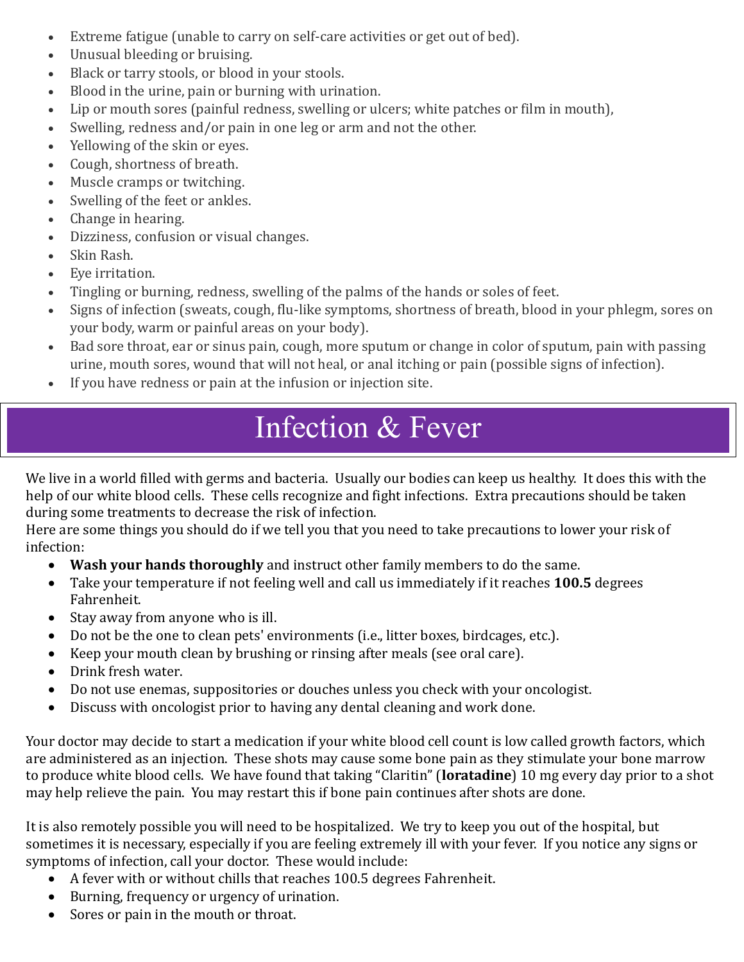- Extreme fatigue (unable to carry on self-care activities or get out of bed).
- Unusual bleeding or bruising.
- Black or tarry stools, or blood in your stools.
- Blood in the urine, pain or burning with urination.
- Lip or mouth sores (painful redness, swelling or ulcers; white patches or film in mouth),
- Swelling, redness and/or pain in one leg or arm and not the other.
- Yellowing of the skin or eyes.
- Cough, shortness of breath.
- Muscle cramps or twitching.
- Swelling of the feet or ankles.
- Change in hearing.
- Dizziness, confusion or visual changes.
- Skin Rash.
- Eye irritation.
- Tingling or burning, redness, swelling of the palms of the hands or soles of feet.
- Signs of infection (sweats, cough, flu-like symptoms, shortness of breath, blood in your phlegm, sores on your body, warm or painful areas on your body).
- Bad sore throat, ear or sinus pain, cough, more sputum or change in color of sputum, pain with passing urine, mouth sores, wound that will not heal, or anal itching or pain (possible signs of infection).
- <span id="page-6-0"></span>• If you have redness or pain at the infusion or injection site.

## Infection & Fever

We live in a world filled with germs and bacteria. Usually our bodies can keep us healthy. It does this with the help of our white blood cells. These cells recognize and fight infections. Extra precautions should be taken during some treatments to decrease the risk of infection.

Here are some things you should do if we tell you that you need to take precautions to lower your risk of infection:

- **Wash your hands thoroughly** and instruct other family members to do the same.
- Take your temperature if not feeling well and call us immediately if it reaches **100.5** degrees Fahrenheit.
- Stay away from anyone who is ill.
- Do not be the one to clean pets' environments (i.e., litter boxes, birdcages, etc.).
- Keep your mouth clean by brushing or rinsing after meals (see oral care).
- Drink fresh water.
- Do not use enemas, suppositories or douches unless you check with your oncologist.
- Discuss with oncologist prior to having any dental cleaning and work done.

Your doctor may decide to start a medication if your white blood cell count is low called growth factors, which are administered as an injection. These shots may cause some bone pain as they stimulate your bone marrow to produce white blood cells. We have found that taking "Claritin" (**loratadine**) 10 mg every day prior to a shot may help relieve the pain. You may restart this if bone pain continues after shots are done.

It is also remotely possible you will need to be hospitalized. We try to keep you out of the hospital, but sometimes it is necessary, especially if you are feeling extremely ill with your fever. If you notice any signs or symptoms of infection, call your doctor. These would include:

- A fever with or without chills that reaches 100.5 degrees Fahrenheit.
- Burning, frequency or urgency of urination.
- Sores or pain in the mouth or throat.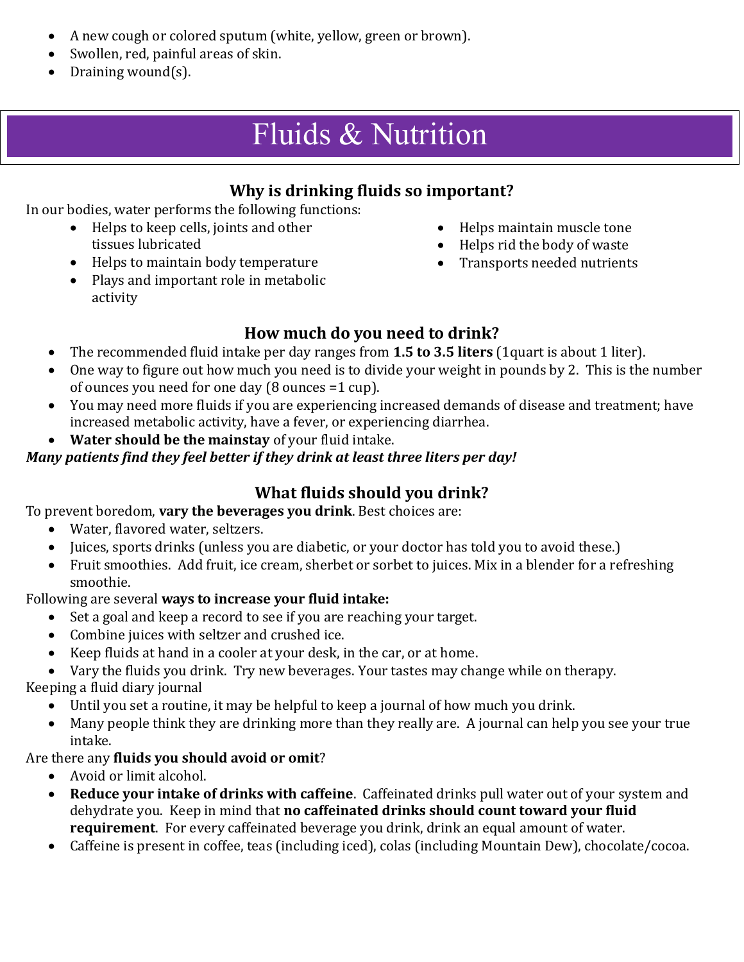- A new cough or colored sputum (white, yellow, green or brown).
- Swollen, red, painful areas of skin.
- <span id="page-7-0"></span>• Draining wound(s).

## Fluids & Nutrition

### **Why is drinking fluids so important?**

In our bodies, water performs the following functions:

- Helps to keep cells, joints and other tissues lubricated
- Helps to maintain body temperature
- Plays and important role in metabolic activity
- Helps maintain muscle tone
- Helps rid the body of waste
- Transports needed nutrients

### **How much do you need to drink?**

- The recommended fluid intake per day ranges from **1.5 to 3.5 liters** (1quart is about 1 liter).
- One way to figure out how much you need is to divide your weight in pounds by 2. This is the number of ounces you need for one day (8 ounces =1 cup).
- You may need more fluids if you are experiencing increased demands of disease and treatment; have increased metabolic activity, have a fever, or experiencing diarrhea.
- **Water should be the mainstay** of your fluid intake.

#### *Many patients find they feel better if they drink at least three liters per day!*

## **What fluids should you drink?**

To prevent boredom, **vary the beverages you drink**. Best choices are:

- Water, flavored water, seltzers.
- Juices, sports drinks (unless you are diabetic, or your doctor has told you to avoid these.)
- Fruit smoothies. Add fruit, ice cream, sherbet or sorbet to juices. Mix in a blender for a refreshing smoothie.

#### Following are several **ways to increase your fluid intake:**

- Set a goal and keep a record to see if you are reaching your target.
- Combine juices with seltzer and crushed ice.
- Keep fluids at hand in a cooler at your desk, in the car, or at home.
- Vary the fluids you drink. Try new beverages. Your tastes may change while on therapy.

Keeping a fluid diary journal

- Until you set a routine, it may be helpful to keep a journal of how much you drink.
- Many people think they are drinking more than they really are. A journal can help you see your true intake.

#### Are there any **fluids you should avoid or omit**?

- Avoid or limit alcohol.
- **Reduce your intake of drinks with caffeine**. Caffeinated drinks pull water out of your system and dehydrate you. Keep in mind that **no caffeinated drinks should count toward your fluid requirement**. For every caffeinated beverage you drink, drink an equal amount of water.
- Caffeine is present in coffee, teas (including iced), colas (including Mountain Dew), chocolate/cocoa.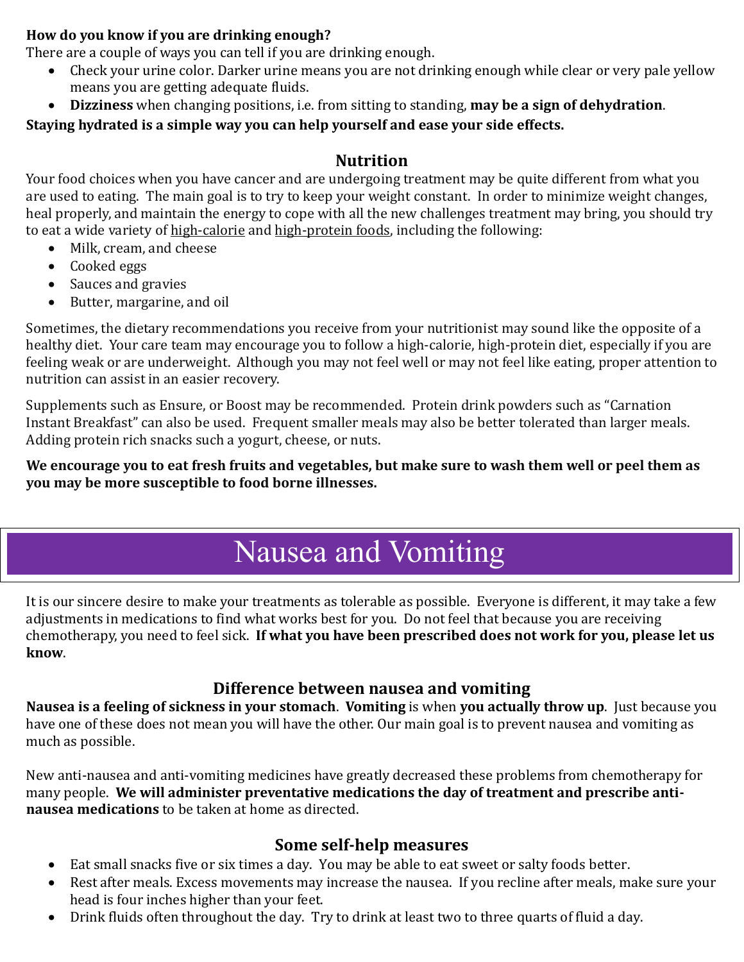#### **How do you know if you are drinking enough?**

There are a couple of ways you can tell if you are drinking enough.

- Check your urine color. Darker urine means you are not drinking enough while clear or very pale yellow means you are getting adequate fluids.
- **Dizziness** when changing positions, i.e. from sitting to standing, **may be a sign of dehydration**.

#### **Staying hydrated is a simple way you can help yourself and ease your side effects.**

#### **Nutrition**

Your food choices when you have cancer and are undergoing treatment may be quite different from what you are used to eating. The main goal is to try to keep your weight constant. In order to minimize weight changes, heal properly, and maintain the energy to cope with all the new challenges treatment may bring, you should try to eat a wide variety of [high-calorie](https://stanfordhealthcare.org/medical-clinics/cancer-nutrition-services/during-cancer-treatment/high-calorie-snacks.html) and [high-protein foods,](https://stanfordhealthcare.org/medical-clinics/cancer-nutrition-services/during-cancer-treatment/high-protein-foods.html) including the following:

- Milk, cream, and cheese
- Cooked eggs
- Sauces and gravies
- Butter, margarine, and oil

Sometimes, the dietary recommendations you receive from your nutritionist may sound like the opposite of a healthy diet. Your care team may encourage you to follow a high-calorie, high-protein diet, especially if you are feeling weak or are underweight. Although you may not feel well or may not feel like eating, proper attention to nutrition can assist in an easier recovery.

Supplements such as Ensure, or Boost may be recommended. Protein drink powders such as "Carnation Instant Breakfast" can also be used. Frequent smaller meals may also be better tolerated than larger meals. Adding protein rich snacks such a yogurt, cheese, or nuts.

**We encourage you to eat fresh fruits and vegetables, but make sure to wash them well or peel them as you may be more susceptible to food borne illnesses.** 

## Nausea and Vomiting

<span id="page-8-0"></span>It is our sincere desire to make your treatments as tolerable as possible. Everyone is different, it may take a few adjustments in medications to find what works best for you. Do not feel that because you are receiving chemotherapy, you need to feel sick. **If what you have been prescribed does not work for you, please let us know**.

#### **Difference between nausea and vomiting**

**Nausea is a feeling of sickness in your stomach**. **Vomiting** is when **you actually throw up**. Just because you have one of these does not mean you will have the other. Our main goal is to prevent nausea and vomiting as much as possible.

New anti-nausea and anti-vomiting medicines have greatly decreased these problems from chemotherapy for many people. **We will administer preventative medications the day of treatment and prescribe antinausea medications** to be taken at home as directed.

### **Some self-help measures**

- Eat small snacks five or six times a day. You may be able to eat sweet or salty foods better.
- Rest after meals. Excess movements may increase the nausea. If you recline after meals, make sure your head is four inches higher than your feet.
- Drink fluids often throughout the day. Try to drink at least two to three quarts of fluid a day.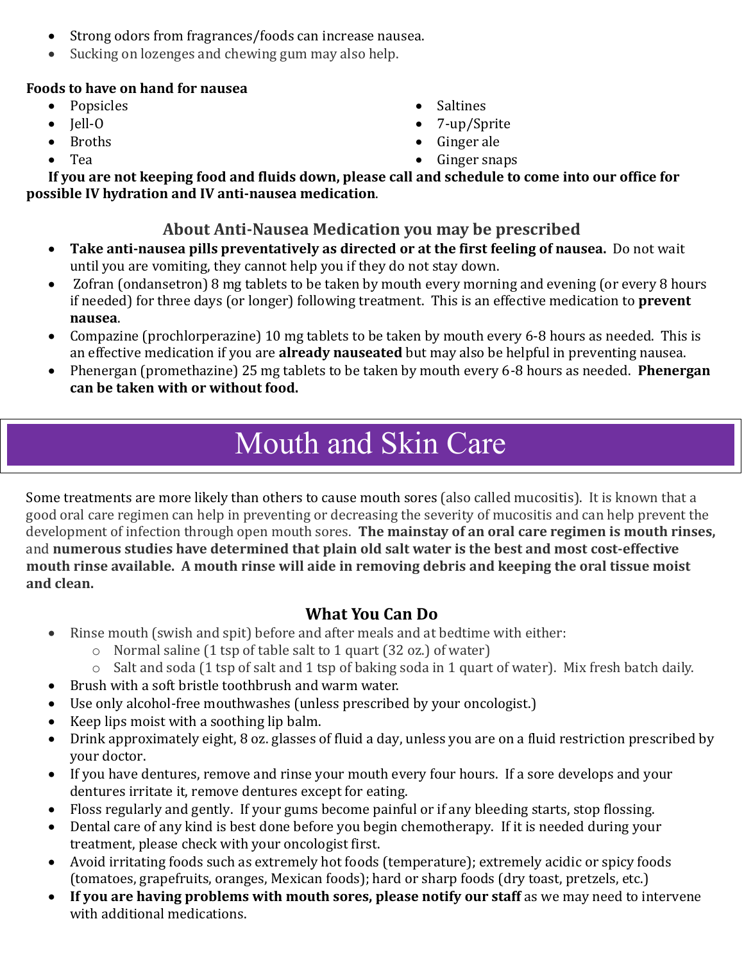- Strong odors from fragrances/foods can increase nausea.
- Sucking on lozenges and chewing gum may also help.

### **Foods to have on hand for nausea**

- Popsicles
- Jell-O
- Broths
- Tea
- Saltines
- 7-up/Sprite
- Ginger ale
- Ginger snaps

**If you are not keeping food and fluids down, please call and schedule to come into our office for possible IV hydration and IV anti-nausea medication**.

## **About Anti-Nausea Medication you may be prescribed**

- **Take anti-nausea pills preventatively as directed or at the first feeling of nausea.** Do not wait until you are vomiting, they cannot help you if they do not stay down.
- Zofran (ondansetron) 8 mg tablets to be taken by mouth every morning and evening (or every 8 hours if needed) for three days (or longer) following treatment. This is an effective medication to **prevent nausea**.
- Compazine (prochlorperazine) 10 mg tablets to be taken by mouth every 6-8 hours as needed. This is an effective medication if you are **already nauseated** but may also be helpful in preventing nausea.
- Phenergan (promethazine) 25 mg tablets to be taken by mouth every 6-8 hours as needed. **Phenergan can be taken with or without food.**

## Mouth and Skin Care

<span id="page-9-0"></span>Some treatments are more likely than others to cause mouth sores (also called mucositis). It is known that a good oral care regimen can help in preventing or decreasing the severity of mucositis and can help prevent the development of infection through open mouth sores. **The mainstay of an oral care regimen is mouth rinses,** and **numerous studies have determined that plain old salt water is the best and most cost-effective mouth rinse available. A mouth rinse will aide in removing debris and keeping the oral tissue moist and clean.**

## **What You Can Do**

- Rinse mouth (swish and spit) before and after meals and at bedtime with either:
	- o Normal saline (1 tsp of table salt to 1 quart (32 oz.) of water)
	- o Salt and soda (1 tsp of salt and 1 tsp of baking soda in 1 quart of water). Mix fresh batch daily.
- Brush with a soft bristle toothbrush and warm water.
- Use only alcohol-free mouthwashes (unless prescribed by your oncologist.)
- Keep lips moist with a soothing lip balm.
- Drink approximately eight, 8 oz. glasses of fluid a day, unless you are on a fluid restriction prescribed by your doctor.
- If you have dentures, remove and rinse your mouth every four hours. If a sore develops and your dentures irritate it, remove dentures except for eating.
- Floss regularly and gently. If your gums become painful or if any bleeding starts, stop flossing.
- Dental care of any kind is best done before you begin chemotherapy. If it is needed during your treatment, please check with your oncologist first.
- Avoid irritating foods such as extremely hot foods (temperature); extremely acidic or spicy foods (tomatoes, grapefruits, oranges, Mexican foods); hard or sharp foods (dry toast, pretzels, etc.)
- **If you are having problems with mouth sores, please notify our staff** as we may need to intervene with additional medications.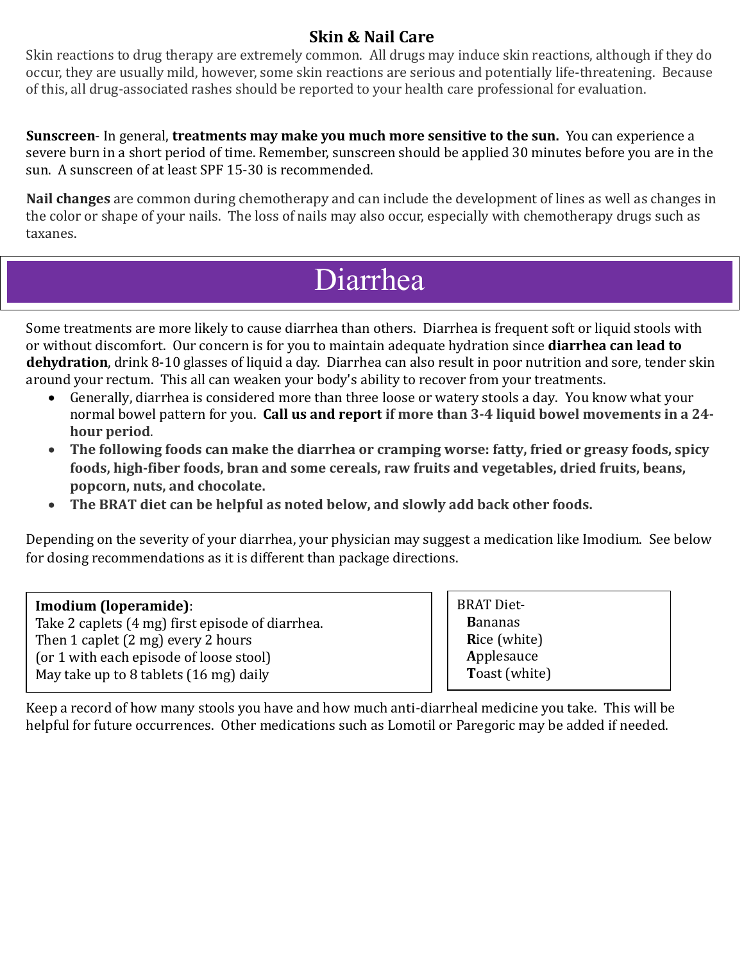### **Skin & Nail Care**

Skin reactions to drug therapy are extremely common. All drugs may induce skin reactions, although if they do occur, they are usually mild, however, some skin reactions are serious and potentially life-threatening. Because of this, all drug-associated rashes should be reported to your health care professional for evaluation.

**Sunscreen**- In general, **treatments may make you much more sensitive to the sun.** You can experience a severe burn in a short period of time. Remember, sunscreen should be applied 30 minutes before you are in the sun. A sunscreen of at least SPF 15-30 is recommended.

**Nail changes** are common during chemotherapy and can include the development of lines as well as changes in the color or shape of your nails. The loss of nails may also occur, especially with chemotherapy drugs such as taxanes.

## Diarrhea

Some treatments are more likely to cause diarrhea than others. Diarrhea is frequent soft or liquid stools with or without discomfort. Our concern is for you to maintain adequate hydration since **diarrhea can lead to dehydration**, drink 8-10 glasses of liquid a day. Diarrhea can also result in poor nutrition and sore, tender skin around your rectum. This all can weaken your body's ability to recover from your treatments.

- Generally, diarrhea is considered more than three loose or watery stools a day. You know what your normal bowel pattern for you. **Call us and report if more than 3-4 liquid bowel movements in a 24 hour period**.
- **The following foods can make the diarrhea or cramping worse: fatty, fried or greasy foods, spicy foods, high-fiber foods, bran and some cereals, raw fruits and vegetables, dried fruits, beans, popcorn, nuts, and chocolate.**
- **The BRAT diet can be helpful as noted below, and slowly add back other foods.**

Depending on the severity of your diarrhea, your physician may suggest a medication like Imodium. See below for dosing recommendations as it is different than package directions.

#### **Imodium (loperamide)**:

<span id="page-10-0"></span>Diarrhea

Take 2 caplets (4 mg) first episode of diarrhea. Then 1 caplet (2 mg) every 2 hours (or 1 with each episode of loose stool) May take up to 8 tablets (16 mg) daily

BRAT Diet- **B**ananas **R**ice (white) **A**pplesauce **T**oast (white)

Keep a record of how many stools you have and how much anti-diarrheal medicine you take. This will be helpful for future occurrences. Other medications such as Lomotil or Paregoric may be added if needed.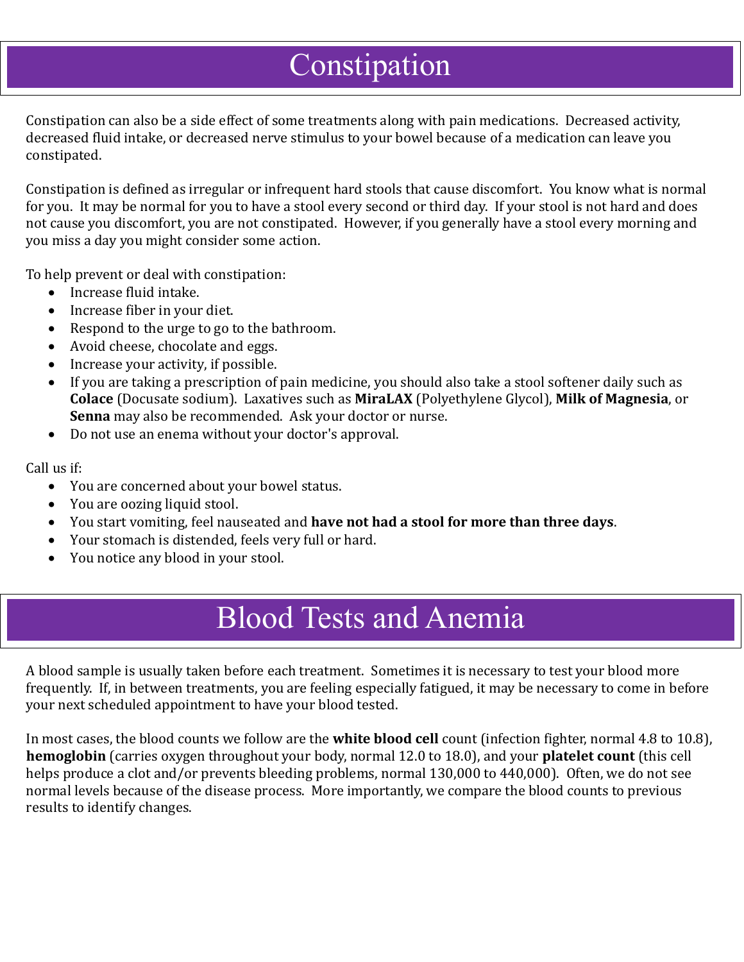## Constipation

Constipation can also be a side effect of some treatments along with pain medications. Decreased activity, decreased fluid intake, or decreased nerve stimulus to your bowel because of a medication can leave you constipated.

Constipation is defined as irregular or infrequent hard stools that cause discomfort. You know what is normal for you. It may be normal for you to have a stool every second or third day. If your stool is not hard and does not cause you discomfort, you are not constipated. However, if you generally have a stool every morning and you miss a day you might consider some action.

To help prevent or deal with constipation:

• Increase fluid intake.

<span id="page-11-1"></span><span id="page-11-0"></span>Constipation

- Increase fiber in your diet.
- Respond to the urge to go to the bathroom.
- Avoid cheese, chocolate and eggs.
- Increase your activity, if possible.
- If you are taking a prescription of pain medicine, you should also take a stool softener daily such as **Colace** (Docusate sodium). Laxatives such as **MiraLAX** (Polyethylene Glycol), **Milk of Magnesia**, or **Senna** may also be recommended. Ask your doctor or nurse.
- Do not use an enema without your doctor's approval.

Call us if:

- You are concerned about your bowel status.
- You are oozing liquid stool.
- You start vomiting, feel nauseated and **have not had a stool for more than three days**.
- Your stomach is distended, feels very full or hard.
- <span id="page-11-2"></span>• You notice any blood in your stool.

## Blood Tests and Anemia

A blood sample is usually taken before each treatment. Sometimes it is necessary to test your blood more frequently. If, in between treatments, you are feeling especially fatigued, it may be necessary to come in before your next scheduled appointment to have your blood tested.

In most cases, the blood counts we follow are the **white blood cell** count (infection fighter, normal 4.8 to 10.8), **hemoglobin** (carries oxygen throughout your body, normal 12.0 to 18.0), and your **platelet count** (this cell helps produce a clot and/or prevents bleeding problems, normal 130,000 to 440,000). Often, we do not see normal levels because of the disease process. More importantly, we compare the blood counts to previous results to identify changes.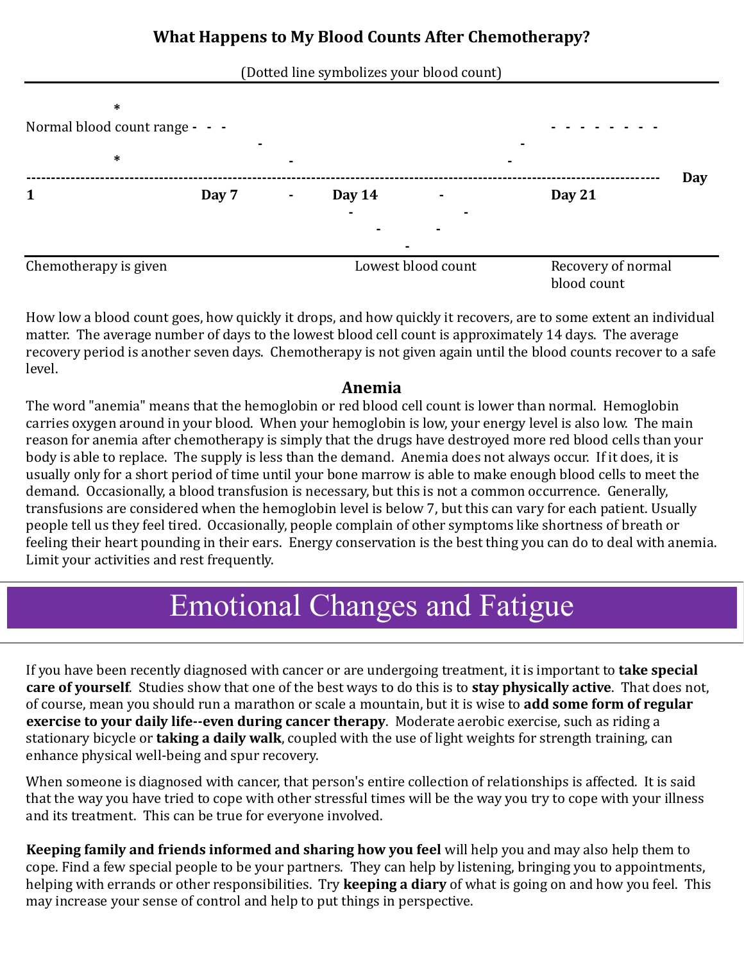#### (Dotted line symbolizes your blood count)



How low a blood count goes, how quickly it drops, and how quickly it recovers, are to some extent an individual matter. The average number of days to the lowest blood cell count is approximately 14 days. The average recovery period is another seven days. Chemotherapy is not given again until the blood counts recover to a safe level.

#### **Anemia**

The word "anemia" means that the hemoglobin or red blood cell count is lower than normal. Hemoglobin carries oxygen around in your blood. When your hemoglobin is low, your energy level is also low. The main reason for anemia after chemotherapy is simply that the drugs have destroyed more red blood cells than your body is able to replace. The supply is less than the demand. Anemia does not always occur. If it does, it is usually only for a short period of time until your bone marrow is able to make enough blood cells to meet the demand. Occasionally, a blood transfusion is necessary, but this is not a common occurrence. Generally, transfusions are considered when the hemoglobin level is below 7, but this can vary for each patient. Usually people tell us they feel tired. Occasionally, people complain of other symptoms like shortness of breath or feeling their heart pounding in their ears. Energy conservation is the best thing you can do to deal with anemia. Limit your activities and rest frequently.

# <span id="page-12-0"></span>Emotional Changes and Fatigue Emotional Changes and Fatigue

If you have been recently diagnosed with cancer or are undergoing treatment, it is important to **take special care of yourself**. Studies show that one of the best ways to do this is to **stay physically active**. That does not, of course, mean you should run a marathon or scale a mountain, but it is wise to **add some form of regular exercise to your daily life--even during cancer therapy**. Moderate aerobic exercise, such as riding a stationary bicycle or **taking a daily walk**, coupled with the use of light weights for strength training, can enhance physical well-being and spur recovery.

When someone is diagnosed with cancer, that person's entire collection of relationships is affected. It is said that the way you have tried to cope with other stressful times will be the way you try to cope with your illness and its treatment. This can be true for everyone involved.

**Keeping family and friends informed and sharing how you feel** will help you and may also help them to cope. Find a few special people to be your partners. They can help by listening, bringing you to appointments, helping with errands or other responsibilities. Try **keeping a diary** of what is going on and how you feel. This may increase your sense of control and help to put things in perspective.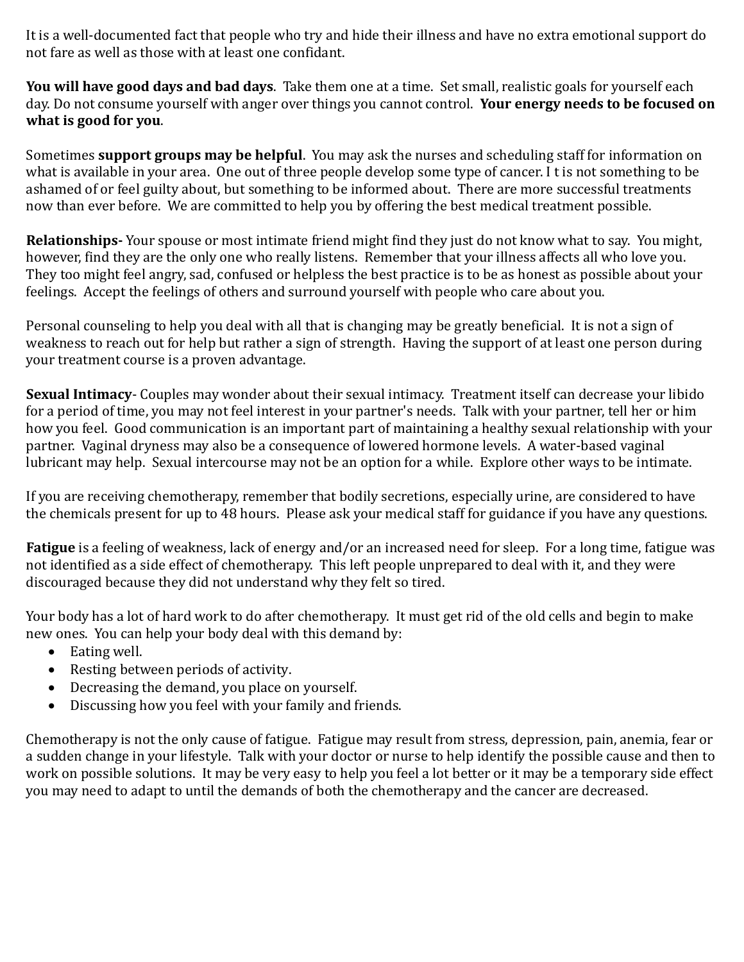It is a well-documented fact that people who try and hide their illness and have no extra emotional support do not fare as well as those with at least one confidant.

**You will have good days and bad days**. Take them one at a time. Set small, realistic goals for yourself each day. Do not consume yourself with anger over things you cannot control. **Your energy needs to be focused on what is good for you**.

Sometimes **support groups may be helpful**. You may ask the nurses and scheduling staff for information on what is available in your area. One out of three people develop some type of cancer. I t is not something to be ashamed of or feel guilty about, but something to be informed about. There are more successful treatments now than ever before. We are committed to help you by offering the best medical treatment possible.

**Relationships-** Your spouse or most intimate friend might find they just do not know what to say. You might, however, find they are the only one who really listens. Remember that your illness affects all who love you. They too might feel angry, sad, confused or helpless the best practice is to be as honest as possible about your feelings. Accept the feelings of others and surround yourself with people who care about you.

Personal counseling to help you deal with all that is changing may be greatly beneficial. It is not a sign of weakness to reach out for help but rather a sign of strength. Having the support of at least one person during your treatment course is a proven advantage.

**Sexual Intimacy**- Couples may wonder about their sexual intimacy. Treatment itself can decrease your libido for a period of time, you may not feel interest in your partner's needs. Talk with your partner, tell her or him how you feel. Good communication is an important part of maintaining a healthy sexual relationship with your partner. Vaginal dryness may also be a consequence of lowered hormone levels. A water-based vaginal lubricant may help. Sexual intercourse may not be an option for a while. Explore other ways to be intimate.

If you are receiving chemotherapy, remember that bodily secretions, especially urine, are considered to have the chemicals present for up to 48 hours. Please ask your medical staff for guidance if you have any questions.

**Fatigue** is a feeling of weakness, lack of energy and/or an increased need for sleep. For a long time, fatigue was not identified as a side effect of chemotherapy. This left people unprepared to deal with it, and they were discouraged because they did not understand why they felt so tired.

Your body has a lot of hard work to do after chemotherapy. It must get rid of the old cells and begin to make new ones. You can help your body deal with this demand by:

- Eating well.
- Resting between periods of activity.
- Decreasing the demand, you place on yourself.
- Discussing how you feel with your family and friends.

Chemotherapy is not the only cause of fatigue. Fatigue may result from stress, depression, pain, anemia, fear or a sudden change in your lifestyle. Talk with your doctor or nurse to help identify the possible cause and then to work on possible solutions. It may be very easy to help you feel a lot better or it may be a temporary side effect you may need to adapt to until the demands of both the chemotherapy and the cancer are decreased.